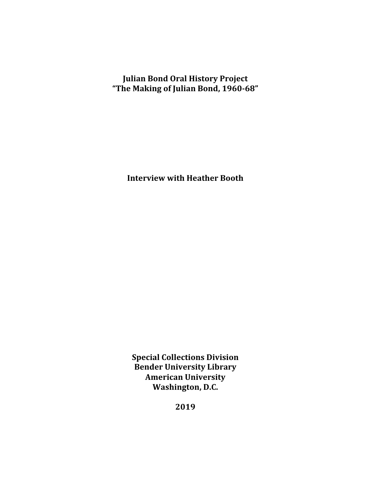**Julian Bond Oral History Project "The Making of Julian Bond, 1960-68"**

**Interview with Heather Booth** 

**Special Collections Division Bender University Library American University** Washington, D.C.

**2019**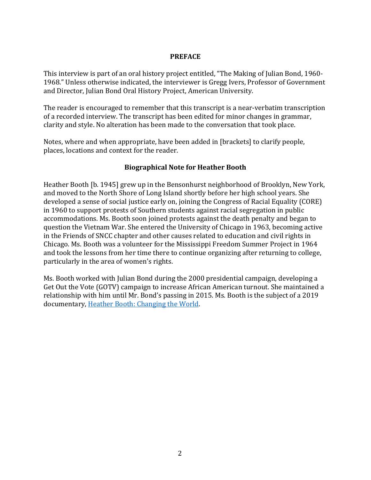#### **PREFACE**

This interview is part of an oral history project entitled, "The Making of Julian Bond, 1960-1968." Unless otherwise indicated, the interviewer is Gregg Ivers, Professor of Government and Director, Julian Bond Oral History Project, American University.

The reader is encouraged to remember that this transcript is a near-verbatim transcription of a recorded interview. The transcript has been edited for minor changes in grammar, clarity and style. No alteration has been made to the conversation that took place.

Notes, where and when appropriate, have been added in [brackets] to clarify people, places, locations and context for the reader.

#### **Biographical Note for Heather Booth**

Heather Booth [b. 1945] grew up in the Bensonhurst neighborhood of Brooklyn, New York, and moved to the North Shore of Long Island shortly before her high school years. She developed a sense of social justice early on, joining the Congress of Racial Equality (CORE) in 1960 to support protests of Southern students against racial segregation in public accommodations. Ms. Booth soon joined protests against the death penalty and began to question the Vietnam War. She entered the University of Chicago in 1963, becoming active in the Friends of SNCC chapter and other causes related to education and civil rights in Chicago. Ms. Booth was a volunteer for the Mississippi Freedom Summer Project in 1964 and took the lessons from her time there to continue organizing after returning to college, particularly in the area of women's rights.

Ms. Booth worked with Julian Bond during the 2000 presidential campaign, developing a Get Out the Vote (GOTV) campaign to increase African American turnout. She maintained a relationship with him until Mr. Bond's passing in 2015. Ms. Booth is the subject of a 2019 documentary, Heather Booth: Changing the World.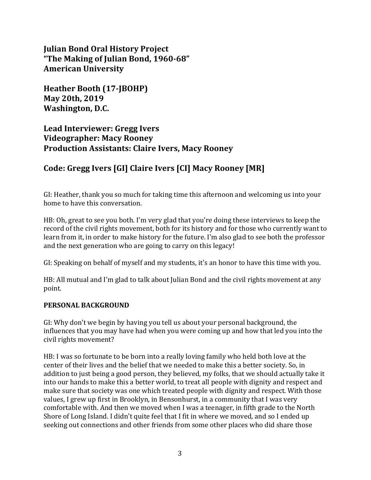**Julian Bond Oral History Project "The Making of Julian Bond, 1960-68" American University**

**Heather Booth (17-JBOHP) May 20th, 2019** Washington, D.C.

Lead Interviewer: Gregg Ivers **Videographer: Macy Rooney Production Assistants: Claire Ivers, Macy Rooney**

# Code: Gregg Ivers [GI] Claire Ivers [CI] Macy Rooney [MR]

GI: Heather, thank you so much for taking time this afternoon and welcoming us into your home to have this conversation.

HB: Oh, great to see you both. I'm very glad that you're doing these interviews to keep the record of the civil rights movement, both for its history and for those who currently want to learn from it, in order to make history for the future. I'm also glad to see both the professor and the next generation who are going to carry on this legacy!

GI: Speaking on behalf of myself and my students, it's an honor to have this time with you.

HB: All mutual and I'm glad to talk about Julian Bond and the civil rights movement at any point. 

## **PERSONAL BACKGROUND**

GI: Why don't we begin by having you tell us about your personal background, the influences that you may have had when you were coming up and how that led you into the civil rights movement?

HB: I was so fortunate to be born into a really loving family who held both love at the center of their lives and the belief that we needed to make this a better society. So, in addition to just being a good person, they believed, my folks, that we should actually take it into our hands to make this a better world, to treat all people with dignity and respect and make sure that society was one which treated people with dignity and respect. With those values, I grew up first in Brooklyn, in Bensonhurst, in a community that I was very comfortable with. And then we moved when I was a teenager, in fifth grade to the North Shore of Long Island. I didn't quite feel that I fit in where we moved, and so I ended up seeking out connections and other friends from some other places who did share those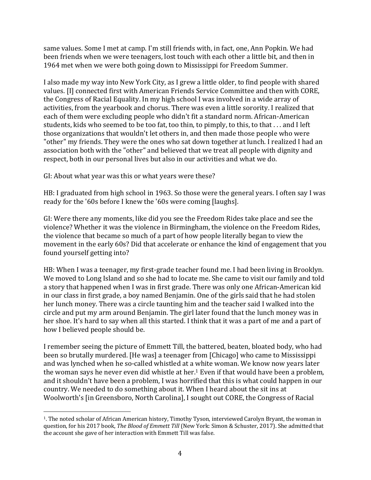same values. Some I met at camp. I'm still friends with, in fact, one, Ann Popkin. We had been friends when we were teenagers, lost touch with each other a little bit, and then in 1964 met when we were both going down to Mississippi for Freedom Summer.

I also made my way into New York City, as I grew a little older, to find people with shared values. III connected first with American Friends Service Committee and then with CORE. the Congress of Racial Equality. In my high school I was involved in a wide array of activities, from the yearbook and chorus. There was even a little sorority. I realized that each of them were excluding people who didn't fit a standard norm. African-American students, kids who seemed to be too fat, too thin, to pimply, to this, to that . . . and I left those organizations that wouldn't let others in, and then made those people who were "other" my friends. They were the ones who sat down together at lunch. I realized I had an association both with the "other" and believed that we treat all people with dignity and respect, both in our personal lives but also in our activities and what we do.

GI: About what year was this or what years were these?

 

HB: I graduated from high school in 1963. So those were the general years. I often say I was ready for the '60s before I knew the '60s were coming [laughs].

GI: Were there any moments, like did you see the Freedom Rides take place and see the violence? Whether it was the violence in Birmingham, the violence on the Freedom Rides, the violence that became so much of a part of how people literally began to view the movement in the early 60s? Did that accelerate or enhance the kind of engagement that you found yourself getting into?

HB: When I was a teenager, my first-grade teacher found me. I had been living in Brooklyn. We moved to Long Island and so she had to locate me. She came to visit our family and told a story that happened when I was in first grade. There was only one African-American kid in our class in first grade, a boy named Benjamin. One of the girls said that he had stolen her lunch money. There was a circle taunting him and the teacher said I walked into the circle and put my arm around Benjamin. The girl later found that the lunch money was in her shoe. It's hard to say when all this started. I think that it was a part of me and a part of how I believed people should be.

I remember seeing the picture of Emmett Till, the battered, beaten, bloated body, who had been so brutally murdered. [He was] a teenager from [Chicago] who came to Mississippi and was lynched when he so-called whistled at a white woman. We know now years later the woman says he never even did whistle at her.<sup>1</sup> Even if that would have been a problem, and it shouldn't have been a problem. I was horrified that this is what could happen in our country. We needed to do something about it. When I heard about the sit ins at Woolworth's [in Greensboro, North Carolina], I sought out CORE, the Congress of Racial

<sup>&</sup>lt;sup>1</sup>. The noted scholar of African American history, Timothy Tyson, interviewed Carolyn Bryant, the woman in question, for his 2017 book, *The Blood of Emmett Till* (New York: Simon & Schuster, 2017). She admitted that the account she gave of her interaction with Emmett Till was false.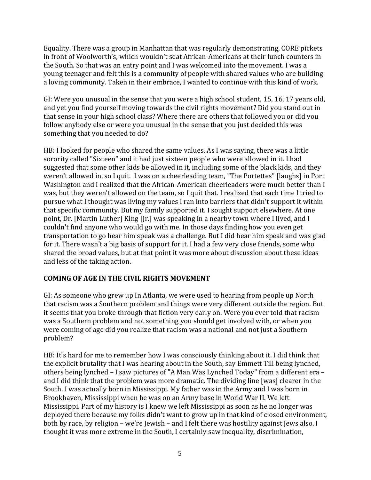Equality. There was a group in Manhattan that was regularly demonstrating, CORE pickets in front of Woolworth's, which wouldn't seat African-Americans at their lunch counters in the South. So that was an entry point and I was welcomed into the movement. I was a young teenager and felt this is a community of people with shared values who are building a loving community. Taken in their embrace, I wanted to continue with this kind of work.

GI: Were you unusual in the sense that you were a high school student, 15, 16, 17 years old, and yet you find yourself moving towards the civil rights movement? Did you stand out in that sense in your high school class? Where there are others that followed you or did you follow anybody else or were you unusual in the sense that you just decided this was something that you needed to do?

HB: I looked for people who shared the same values. As I was saying, there was a little sorority called "Sixteen" and it had just sixteen people who were allowed in it. I had suggested that some other kids be allowed in it, including some of the black kids, and they weren't allowed in, so I quit. I was on a cheerleading team, "The Portettes" [laughs] in Port Washington and I realized that the African-American cheerleaders were much better than I was, but they weren't allowed on the team, so I quit that. I realized that each time I tried to pursue what I thought was living my values I ran into barriers that didn't support it within that specific community. But my family supported it. I sought support elsewhere. At one point, Dr. [Martin Luther] King [Jr.] was speaking in a nearby town where I lived, and I couldn't find anyone who would go with me. In those days finding how you even get transportation to go hear him speak was a challenge. But I did hear him speak and was glad for it. There wasn't a big basis of support for it. I had a few very close friends, some who shared the broad values, but at that point it was more about discussion about these ideas and less of the taking action.

## **COMING OF AGE IN THE CIVIL RIGHTS MOVEMENT**

GI: As someone who grew up In Atlanta, we were used to hearing from people up North that racism was a Southern problem and things were very different outside the region. But it seems that you broke through that fiction very early on. Were you ever told that racism was a Southern problem and not something you should get involved with, or when you were coming of age did you realize that racism was a national and not just a Southern problem?

HB: It's hard for me to remember how I was consciously thinking about it. I did think that the explicit brutality that I was hearing about in the South, say Emmett Till being lynched, others being lynched - I saw pictures of "A Man Was Lynched Today" from a different era and I did think that the problem was more dramatic. The dividing line Iwas] clearer in the South. I was actually born in Mississippi. My father was in the Army and I was born in Brookhaven, Mississippi when he was on an Army base in World War II. We left Mississippi. Part of my history is I knew we left Mississippi as soon as he no longer was deployed there because my folks didn't want to grow up in that kind of closed environment, both by race, by religion – we're Jewish – and I felt there was hostility against Jews also. I thought it was more extreme in the South, I certainly saw inequality, discrimination,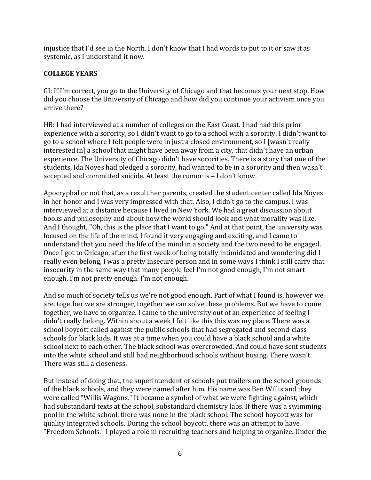injustice that I'd see in the North. I don't know that I had words to put to it or saw it as systemic, as I understand it now.

## **COLLEGE YEARS**

GI: If I'm correct, you go to the University of Chicago and that becomes your next stop. How did you choose the University of Chicago and how did you continue your activism once you arrive there?

HB: I had interviewed at a number of colleges on the East Coast. I had had this prior experience with a sorority, so I didn't want to go to a school with a sorority. I didn't want to go to a school where I felt people were in just a closed environment, so I [wasn't really interested in] a school that might have been away from a city, that didn't have an urban experience. The University of Chicago didn't have sororities. There is a story that one of the students, Ida Noyes had pledged a sorority, had wanted to be in a sorority and then wasn't accepted and committed suicide. At least the rumor is - I don't know.

Apocryphal or not that, as a result her parents, created the student center called Ida Noyes in her honor and I was very impressed with that. Also, I didn't go to the campus. I was interviewed at a distance because I lived in New York. We had a great discussion about books and philosophy and about how the world should look and what morality was like. And I thought, "Oh, this is the place that I want to go." And at that point, the university was focused on the life of the mind. I found it very engaging and exciting, and I came to understand that you need the life of the mind in a society and the two need to be engaged. Once I got to Chicago, after the first week of being totally intimidated and wondering did I really even belong, I was a pretty insecure person and in some ways I think I still carry that insecurity in the same way that many people feel I'm not good enough, I'm not smart enough, I'm not pretty enough. I'm not enough.

And so much of society tells us we're not good enough. Part of what I found is, however we are, together we are stronger, together we can solve these problems. But we have to come together, we have to organize. I came to the university out of an experience of feeling I didn't really belong. Within about a week I felt like this this was my place. There was a school boycott called against the public schools that had segregated and second-class schools for black kids. It was at a time when you could have a black school and a white school next to each other. The black school was overcrowded. And could have sent students into the white school and still had neighborhood schools without busing. There wasn't. There was still a closeness.

But instead of doing that, the superintendent of schools put trailers on the school grounds of the black schools, and they were named after him. His name was Ben Willis and they were called "Willis Wagons." It became a symbol of what we were fighting against, which had substandard texts at the school, substandard chemistry labs. If there was a swimming pool in the white school, there was none in the black school. The school boycott was for quality integrated schools. During the school boycott, there was an attempt to have "Freedom Schools." I played a role in recruiting teachers and helping to organize. Under the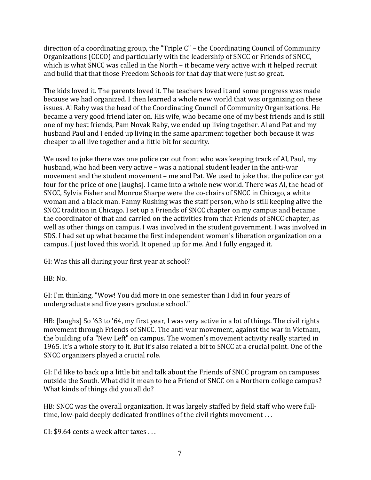direction of a coordinating group, the "Triple  $C$ " – the Coordinating Council of Community Organizations (CCCO) and particularly with the leadership of SNCC or Friends of SNCC, which is what SNCC was called in the North – it became very active with it helped recruit and build that that those Freedom Schools for that day that were just so great.

The kids loved it. The parents loved it. The teachers loved it and some progress was made because we had organized. I then learned a whole new world that was organizing on these issues. Al Raby was the head of the Coordinating Council of Community Organizations. He became a very good friend later on. His wife, who became one of my best friends and is still one of my best friends, Pam Novak Raby, we ended up living together. Al and Pat and my husband Paul and I ended up living in the same apartment together both because it was cheaper to all live together and a little bit for security.

We used to joke there was one police car out front who was keeping track of Al, Paul, my husband, who had been very active - was a national student leader in the anti-war movement and the student movement – me and Pat. We used to joke that the police car got four for the price of one [laughs]. I came into a whole new world. There was Al, the head of SNCC, Sylvia Fisher and Monroe Sharpe were the co-chairs of SNCC in Chicago, a white woman and a black man. Fanny Rushing was the staff person, who is still keeping alive the SNCC tradition in Chicago. I set up a Friends of SNCC chapter on my campus and became the coordinator of that and carried on the activities from that Friends of SNCC chapter, as well as other things on campus. I was involved in the student government. I was involved in SDS. I had set up what became the first independent women's liberation organization on a campus. I just loved this world. It opened up for me. And I fully engaged it.

GI: Was this all during your first year at school?

HB: No.

GI: I'm thinking, "Wow! You did more in one semester than I did in four years of undergraduate and five years graduate school."

HB: [laughs] So '63 to '64, my first year, I was very active in a lot of things. The civil rights movement through Friends of SNCC. The anti-war movement, against the war in Vietnam, the building of a "New Left" on campus. The women's movement activity really started in 1965. It's a whole story to it. But it's also related a bit to SNCC at a crucial point. One of the SNCC organizers played a crucial role.

GI: I'd like to back up a little bit and talk about the Friends of SNCC program on campuses outside the South. What did it mean to be a Friend of SNCC on a Northern college campus? What kinds of things did you all do?

HB: SNCC was the overall organization. It was largely staffed by field staff who were fulltime, low-paid deeply dedicated frontlines of the civil rights movement  $\dots$ 

GI:  $$9.64$  cents a week after taxes ...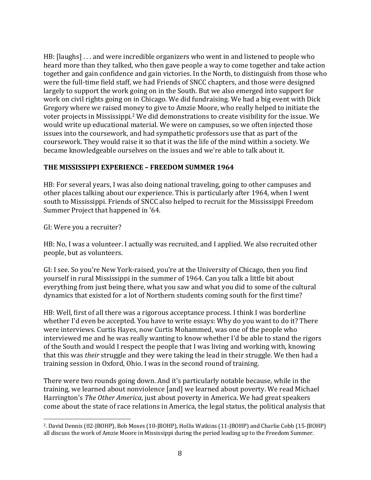HB: [laughs] ... and were incredible organizers who went in and listened to people who heard more than they talked, who then gave people a way to come together and take action together and gain confidence and gain victories. In the North, to distinguish from those who were the full-time field staff, we had Friends of SNCC chapters, and those were designed largely to support the work going on in the South. But we also emerged into support for work on civil rights going on in Chicago. We did fundraising. We had a big event with Dick Gregory where we raised money to give to Amzie Moore, who really helped to initiate the voter projects in Mississippi.<sup>2</sup> We did demonstrations to create visibility for the issue. We would write up educational material. We were on campuses, so we often injected those issues into the coursework, and had sympathetic professors use that as part of the coursework. They would raise it so that it was the life of the mind within a society. We became knowledgeable ourselves on the issues and we're able to talk about it.

#### THE MISSISSIPPI EXPERIENCE - FREEDOM SUMMER 1964

HB: For several years, I was also doing national traveling, going to other campuses and other places talking about our experience. This is particularly after 1964, when I went south to Mississippi. Friends of SNCC also helped to recruit for the Mississippi Freedom Summer Project that happened in '64.

GI: Were you a recruiter?

HB: No, I was a volunteer. I actually was recruited, and I applied. We also recruited other people, but as volunteers.

GI: I see. So you're New York-raised, you're at the University of Chicago, then you find yourself in rural Mississippi in the summer of 1964. Can you talk a little bit about everything from just being there, what you saw and what you did to some of the cultural dynamics that existed for a lot of Northern students coming south for the first time?

HB: Well, first of all there was a rigorous acceptance process. I think I was borderline whether I'd even be accepted. You have to write essays: Why do you want to do it? There were interviews. Curtis Hayes, now Curtis Mohammed, was one of the people who interviewed me and he was really wanting to know whether I'd be able to stand the rigors of the South and would I respect the people that I was living and working with, knowing that this was *their* struggle and they were taking the lead in their struggle. We then had a training session in Oxford, Ohio. I was in the second round of training.

There were two rounds going down. And it's particularly notable because, while in the training, we learned about nonviolence [and] we learned about poverty. We read Michael Harrington's *The Other America*, just about poverty in America. We had great speakers come about the state of race relations in America, the legal status, the political analysis that

 <sup>2</sup>. David Dennis (02-JBOHP), Bob Moses (10-JBOHP), Hollis Watkins (11-JBOHP) and Charlie Cobb (15-JBOHP) all discuss the work of Amzie Moore in Mississippi during the period leading up to the Freedom Summer.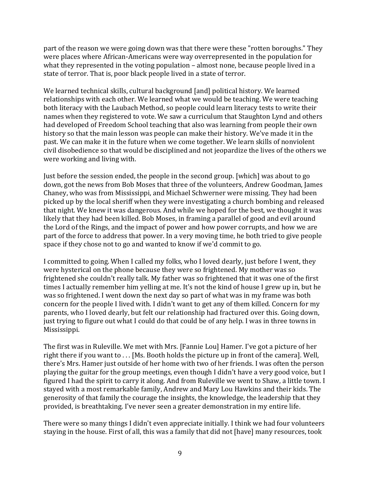part of the reason we were going down was that there were these "rotten boroughs." They were places where African-Americans were way overrepresented in the population for what they represented in the voting population  $-$  almost none, because people lived in a state of terror. That is, poor black people lived in a state of terror.

We learned technical skills, cultural background [and] political history. We learned relationships with each other. We learned what we would be teaching. We were teaching both literacy with the Laubach Method, so people could learn literacy tests to write their names when they registered to vote. We saw a curriculum that Staughton Lynd and others had developed of Freedom School teaching that also was learning from people their own history so that the main lesson was people can make their history. We've made it in the past. We can make it in the future when we come together. We learn skills of nonviolent civil disobedience so that would be disciplined and not jeopardize the lives of the others we were working and living with.

Just before the session ended, the people in the second group. [which] was about to go down, got the news from Bob Moses that three of the volunteers, Andrew Goodman, James Chaney, who was from Mississippi, and Michael Schwerner were missing. They had been picked up by the local sheriff when they were investigating a church bombing and released that night. We knew it was dangerous. And while we hoped for the best, we thought it was likely that they had been killed. Bob Moses, in framing a parallel of good and evil around the Lord of the Rings, and the impact of power and how power corrupts, and how we are part of the force to address that power. In a very moving time, he both tried to give people space if they chose not to go and wanted to know if we'd commit to go.

I committed to going. When I called my folks, who I loved dearly, just before I went, they were hysterical on the phone because they were so frightened. My mother was so frightened she couldn't really talk. My father was so frightened that it was one of the first times I actually remember him yelling at me. It's not the kind of house I grew up in, but he was so frightened. I went down the next day so part of what was in my frame was both concern for the people I lived with. I didn't want to get any of them killed. Concern for my parents, who I loved dearly, but felt our relationship had fractured over this. Going down, just trying to figure out what I could do that could be of any help. I was in three towns in Mississippi. 

The first was in Ruleville. We met with Mrs. [Fannie Lou] Hamer. I've got a picture of her right there if you want to ... [Ms. Booth holds the picture up in front of the camera]. Well, there's Mrs. Hamer just outside of her home with two of her friends. I was often the person playing the guitar for the group meetings, even though I didn't have a very good voice, but I figured I had the spirit to carry it along. And from Ruleville we went to Shaw, a little town. I stayed with a most remarkable family, Andrew and Mary Lou Hawkins and their kids. The generosity of that family the courage the insights, the knowledge, the leadership that they provided, is breathtaking. I've never seen a greater demonstration in my entire life.

There were so many things I didn't even appreciate initially. I think we had four volunteers staying in the house. First of all, this was a family that did not [have] many resources, took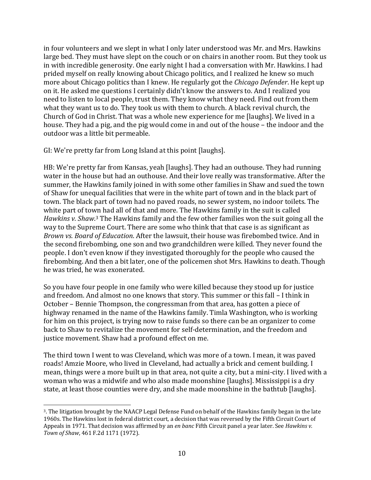in four volunteers and we slept in what I only later understood was Mr. and Mrs. Hawkins large bed. They must have slept on the couch or on chairs in another room. But they took us in with incredible generosity. One early night I had a conversation with Mr. Hawkins. I had prided myself on really knowing about Chicago politics, and I realized he knew so much more about Chicago politics than I knew. He regularly got the *Chicago Defender*. He kept up on it. He asked me questions I certainly didn't know the answers to. And I realized you need to listen to local people, trust them. They know what they need. Find out from them what they want us to do. They took us with them to church. A black revival church, the Church of God in Christ. That was a whole new experience for me [laughs]. We lived in a house. They had a pig, and the pig would come in and out of the house – the indoor and the outdoor was a little bit permeable.

GI: We're pretty far from Long Island at this point [laughs].

 

HB: We're pretty far from Kansas, yeah [laughs]. They had an outhouse. They had running water in the house but had an outhouse. And their love really was transformative. After the summer, the Hawkins family joined in with some other families in Shaw and sued the town of Shaw for unequal facilities that were in the white part of town and in the black part of town. The black part of town had no paved roads, no sewer system, no indoor toilets. The white part of town had all of that and more. The Hawkins family in the suit is called Hawkins v. Shaw.<sup>3</sup> The Hawkins family and the few other families won the suit going all the way to the Supreme Court. There are some who think that that case is as significant as *Brown vs. Board of Education*. After the lawsuit, their house was firebombed twice. And in the second firebombing, one son and two grandchildren were killed. They never found the people. I don't even know if they investigated thoroughly for the people who caused the firebombing. And then a bit later, one of the policemen shot Mrs. Hawkins to death. Though he was tried, he was exonerated.

So you have four people in one family who were killed because they stood up for justice and freedom. And almost no one knows that story. This summer or this fall – I think in October – Bennie Thompson, the congressman from that area, has gotten a piece of highway renamed in the name of the Hawkins family. Timla Washington, who is working for him on this project, is trying now to raise funds so there can be an organizer to come back to Shaw to revitalize the movement for self-determination, and the freedom and justice movement. Shaw had a profound effect on me.

The third town I went to was Cleveland, which was more of a town. I mean, it was paved roads! Amzie Moore, who lived in Cleveland, had actually a brick and cement building. I mean, things were a more built up in that area, not quite a city, but a mini-city. I lived with a woman who was a midwife and who also made moonshine Ilaughs]. Mississippi is a dry state, at least those counties were dry, and she made moonshine in the bathtub [laughs].

<sup>&</sup>lt;sup>3</sup>. The litigation brought by the NAACP Legal Defense Fund on behalf of the Hawkins family began in the late 1960s. The Hawkins lost in federal district court, a decision that was reversed by the Fifth Circuit Court of Appeals in 1971. That decision was affirmed by an *en banc* Fifth Circuit panel a year later. See *Hawkins* v. *Town of Shaw*, 461 F.2d 1171 (1972).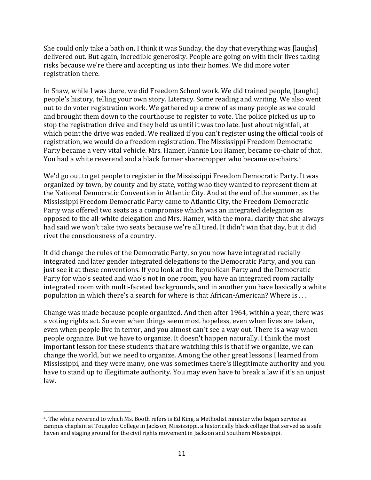She could only take a bath on, I think it was Sunday, the day that everything was [laughs] delivered out. But again, incredible generosity. People are going on with their lives taking risks because we're there and accepting us into their homes. We did more voter registration there.

In Shaw, while I was there, we did Freedom School work. We did trained people, [taught] people's history, telling your own story. Literacy. Some reading and writing. We also went out to do voter registration work. We gathered up a crew of as many people as we could and brought them down to the courthouse to register to vote. The police picked us up to stop the registration drive and they held us until it was too late. Just about nightfall, at which point the drive was ended. We realized if you can't register using the official tools of registration, we would do a freedom registration. The Mississippi Freedom Democratic Party became a very vital vehicle. Mrs. Hamer, Fannie Lou Hamer, became co-chair of that. You had a white reverend and a black former sharecropper who became co-chairs.<sup>4</sup>

We'd go out to get people to register in the Mississippi Freedom Democratic Party. It was organized by town, by county and by state, voting who they wanted to represent them at the National Democratic Convention in Atlantic City. And at the end of the summer, as the Mississippi Freedom Democratic Party came to Atlantic City, the Freedom Democratic Party was offered two seats as a compromise which was an integrated delegation as opposed to the all-white delegation and Mrs. Hamer, with the moral clarity that she always had said we won't take two seats because we're all tired. It didn't win that day, but it did rivet the consciousness of a country.

It did change the rules of the Democratic Party, so you now have integrated racially integrated and later gender integrated delegations to the Democratic Party, and you can just see it at these conventions. If you look at the Republican Party and the Democratic Party for who's seated and who's not in one room, you have an integrated room racially integrated room with multi-faceted backgrounds, and in another you have basically a white population in which there's a search for where is that African-American? Where is  $\dots$ 

Change was made because people organized. And then after 1964, within a year, there was a voting rights act. So even when things seem most hopeless, even when lives are taken, even when people live in terror, and you almost can't see a way out. There is a way when people organize. But we have to organize. It doesn't happen naturally. I think the most important lesson for these students that are watching this is that if we organize, we can change the world, but we need to organize. Among the other great lessons I learned from Mississippi, and they were many, one was sometimes there's illegitimate authority and you have to stand up to illegitimate authority. You may even have to break a law if it's an unjust law. 

 

<sup>&</sup>lt;sup>4</sup>. The white reverend to which Ms. Booth refers is Ed King, a Methodist minister who began service as campus chaplain at Tougaloo College in Jackson, Mississippi, a historically black college that served as a safe haven and staging ground for the civil rights movement in Jackson and Southern Mississippi.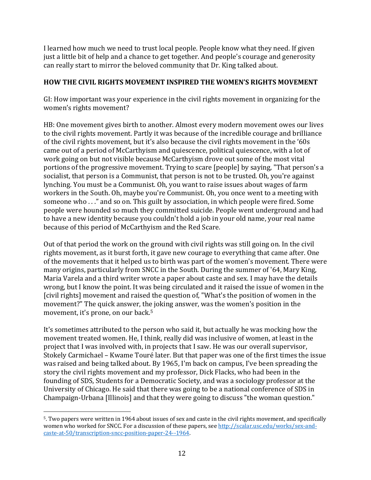I learned how much we need to trust local people. People know what they need. If given just a little bit of help and a chance to get together. And people's courage and generosity can really start to mirror the beloved community that Dr. King talked about.

### **HOW THE CIVIL RIGHTS MOVEMENT INSPIRED THE WOMEN'S RIGHTS MOVEMENT**

GI: How important was your experience in the civil rights movement in organizing for the women's rights movement?

HB: One movement gives birth to another. Almost every modern movement owes our lives to the civil rights movement. Partly it was because of the incredible courage and brilliance of the civil rights movement, but it's also because the civil rights movement in the '60s came out of a period of McCarthyism and quiescence, political quiescence, with a lot of work going on but not visible because McCarthyism drove out some of the most vital portions of the progressive movement. Trying to scare [people] by saying, "That person's a socialist, that person is a Communist, that person is not to be trusted. Oh, you're against lynching. You must be a Communist. Oh, you want to raise issues about wages of farm workers in the South. Oh, maybe you're Communist. Oh, you once went to a meeting with someone who . . ." and so on. This guilt by association, in which people were fired. Some people were hounded so much they committed suicide. People went underground and had to have a new identity because you couldn't hold a job in your old name, your real name because of this period of McCarthyism and the Red Scare.

Out of that period the work on the ground with civil rights was still going on. In the civil rights movement, as it burst forth, it gave new courage to everything that came after. One of the movements that it helped us to birth was part of the women's movement. There were many origins, particularly from SNCC in the South. During the summer of '64, Mary King, Maria Varela and a third writer wrote a paper about caste and sex. I may have the details wrong, but I know the point. It was being circulated and it raised the issue of women in the [civil rights] movement and raised the question of, "What's the position of women in the movement?" The quick answer, the joking answer, was the women's position in the movement, it's prone, on our back.<sup>5</sup>

It's sometimes attributed to the person who said it, but actually he was mocking how the movement treated women. He, I think, really did was inclusive of women, at least in the project that I was involved with, in projects that I saw. He was our overall supervisor, Stokely Carmichael - Kwame Touré later. But that paper was one of the first times the issue was raised and being talked about. By 1965, I'm back on campus, I've been spreading the story the civil rights movement and my professor, Dick Flacks, who had been in the founding of SDS, Students for a Democratic Society, and was a sociology professor at the University of Chicago. He said that there was going to be a national conference of SDS in Champaign-Urbana [Illinois] and that they were going to discuss "the woman question."

 

<sup>&</sup>lt;sup>5</sup>. Two papers were written in 1964 about issues of sex and caste in the civil rights movement, and specifically women who worked for SNCC. For a discussion of these papers, see http://scalar.usc.edu/works/sex-andcaste-at-50/transcription-sncc-position-paper-24--1964.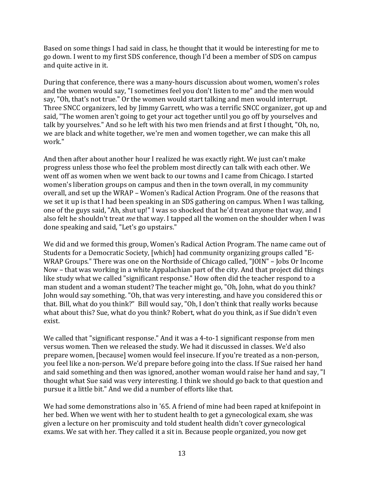Based on some things I had said in class, he thought that it would be interesting for me to go down. I went to my first SDS conference, though I'd been a member of SDS on campus and quite active in it.

During that conference, there was a many-hours discussion about women, women's roles and the women would say, "I sometimes feel you don't listen to me" and the men would say, "Oh, that's not true." Or the women would start talking and men would interrupt. Three SNCC organizers, led by Jimmy Garrett, who was a terrific SNCC organizer, got up and said, "The women aren't going to get your act together until you go off by yourselves and talk by yourselves." And so he left with his two men friends and at first I thought, "Oh, no, we are black and white together, we're men and women together, we can make this all work." 

And then after about another hour I realized he was exactly right. We just can't make progress unless those who feel the problem most directly can talk with each other. We went off as women when we went back to our towns and I came from Chicago. I started women's liberation groups on campus and then in the town overall, in my community overall, and set up the WRAP - Women's Radical Action Program. One of the reasons that we set it up is that I had been speaking in an SDS gathering on campus. When I was talking, one of the guys said, "Ah, shut up!" I was so shocked that he'd treat anyone that way, and I also felt he shouldn't treat *me* that way. I tapped all the women on the shoulder when I was done speaking and said, "Let's go upstairs."

We did and we formed this group, Women's Radical Action Program. The name came out of Students for a Democratic Society, [which] had community organizing groups called "E-WRAP Groups." There was one on the Northside of Chicago called, "JOIN" – Jobs Or Income Now – that was working in a white Appalachian part of the city. And that project did things like study what we called "significant response." How often did the teacher respond to a man student and a woman student? The teacher might go, "Oh, John, what do you think? John would say something. "Oh, that was very interesting, and have you considered this or that. Bill, what do you think?" Bill would say, "Oh, I don't think that really works because what about this? Sue, what do you think? Robert, what do you think, as if Sue didn't even exist.

We called that "significant response." And it was a 4-to-1 significant response from men versus women. Then we released the study. We had it discussed in classes. We'd also prepare women, [because] women would feel insecure. If you're treated as a non-person, you feel like a non-person. We'd prepare before going into the class. If Sue raised her hand and said something and then was ignored, another woman would raise her hand and say, "I thought what Sue said was very interesting. I think we should go back to that question and pursue it a little bit." And we did a number of efforts like that.

We had some demonstrations also in '65. A friend of mine had been raped at knifepoint in her bed. When we went with her to student health to get a gynecological exam, she was given a lecture on her promiscuity and told student health didn't cover gynecological exams. We sat with her. They called it a sit in. Because people organized, you now get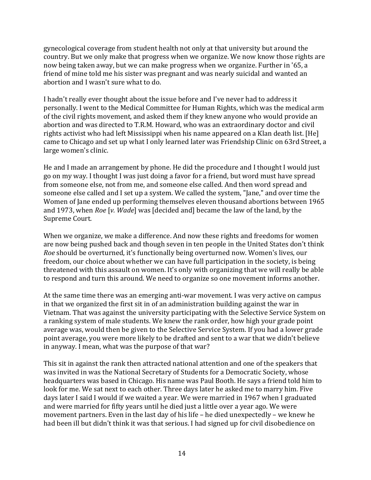gynecological coverage from student health not only at that university but around the country. But we only make that progress when we organize. We now know those rights are now being taken away, but we can make progress when we organize. Further in '65, a friend of mine told me his sister was pregnant and was nearly suicidal and wanted an abortion and I wasn't sure what to do.

I hadn't really ever thought about the issue before and I've never had to address it personally. I went to the Medical Committee for Human Rights, which was the medical arm of the civil rights movement, and asked them if they knew anyone who would provide an abortion and was directed to T.R.M. Howard, who was an extraordinary doctor and civil rights activist who had left Mississippi when his name appeared on a Klan death list. [He] came to Chicago and set up what I only learned later was Friendship Clinic on 63rd Street, a large women's clinic.

He and I made an arrangement by phone. He did the procedure and I thought I would just go on my way. I thought I was just doing a favor for a friend, but word must have spread from someone else, not from me, and someone else called. And then word spread and someone else called and I set up a system. We called the system, "Jane," and over time the Women of Jane ended up performing themselves eleven thousand abortions between 1965 and 1973, when *Roe* [*v. Wade*] was [decided and] became the law of the land, by the Supreme Court.

When we organize, we make a difference. And now these rights and freedoms for women are now being pushed back and though seven in ten people in the United States don't think *Roe* should be overturned, it's functionally being overturned now. Women's lives, our freedom, our choice about whether we can have full participation in the society, is being threatened with this assault on women. It's only with organizing that we will really be able to respond and turn this around. We need to organize so one movement informs another.

At the same time there was an emerging anti-war movement. I was very active on campus in that we organized the first sit in of an administration building against the war in Vietnam. That was against the university participating with the Selective Service System on a ranking system of male students. We knew the rank order, how high your grade point average was, would then be given to the Selective Service System. If you had a lower grade point average, you were more likely to be drafted and sent to a war that we didn't believe in anyway. I mean, what was the purpose of that war?

This sit in against the rank then attracted national attention and one of the speakers that was invited in was the National Secretary of Students for a Democratic Society, whose headquarters was based in Chicago. His name was Paul Booth. He says a friend told him to look for me. We sat next to each other. Three days later he asked me to marry him. Five days later I said I would if we waited a year. We were married in 1967 when I graduated and were married for fifty years until he died just a little over a year ago. We were movement partners. Even in the last day of his life  $-$  he died unexpectedly  $-$  we knew he had been ill but didn't think it was that serious. I had signed up for civil disobedience on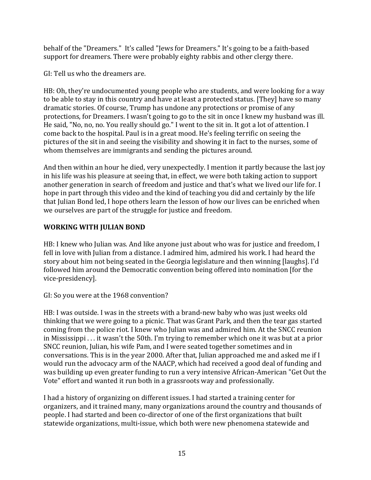behalf of the "Dreamers." It's called "Jews for Dreamers." It's going to be a faith-based support for dreamers. There were probably eighty rabbis and other clergy there.

GI: Tell us who the dreamers are.

HB: Oh, they're undocumented young people who are students, and were looking for a way to be able to stay in this country and have at least a protected status. [They] have so many dramatic stories. Of course, Trump has undone any protections or promise of any protections, for Dreamers. I wasn't going to go to the sit in once I knew my husband was ill. He said, "No, no, no. You really should go." I went to the sit in. It got a lot of attention. I come back to the hospital. Paul is in a great mood. He's feeling terrific on seeing the pictures of the sit in and seeing the visibility and showing it in fact to the nurses, some of whom themselves are immigrants and sending the pictures around.

And then within an hour he died, very unexpectedly. I mention it partly because the last joy in his life was his pleasure at seeing that, in effect, we were both taking action to support another generation in search of freedom and justice and that's what we lived our life for. I hope in part through this video and the kind of teaching you did and certainly by the life that Julian Bond led, I hope others learn the lesson of how our lives can be enriched when we ourselves are part of the struggle for justice and freedom.

## **WORKING WITH JULIAN BOND**

HB: I knew who Julian was. And like anyone just about who was for justice and freedom, I fell in love with Julian from a distance. I admired him, admired his work. I had heard the story about him not being seated in the Georgia legislature and then winning [laughs]. I'd followed him around the Democratic convention being offered into nomination [for the vice-presidency]. 

GI: So you were at the 1968 convention?

HB: I was outside. I was in the streets with a brand-new baby who was just weeks old thinking that we were going to a picnic. That was Grant Park, and then the tear gas started coming from the police riot. I knew who Julian was and admired him. At the SNCC reunion in Mississippi  $\dots$  it wasn't the 50th. I'm trying to remember which one it was but at a prior SNCC reunion, Julian, his wife Pam, and I were seated together sometimes and in conversations. This is in the year 2000. After that, Julian approached me and asked me if I would run the advocacy arm of the NAACP, which had received a good deal of funding and was building up even greater funding to run a very intensive African-American "Get Out the Vote" effort and wanted it run both in a grassroots way and professionally.

I had a history of organizing on different issues. I had started a training center for organizers, and it trained many, many organizations around the country and thousands of people. I had started and been co-director of one of the first organizations that built statewide organizations, multi-issue, which both were new phenomena statewide and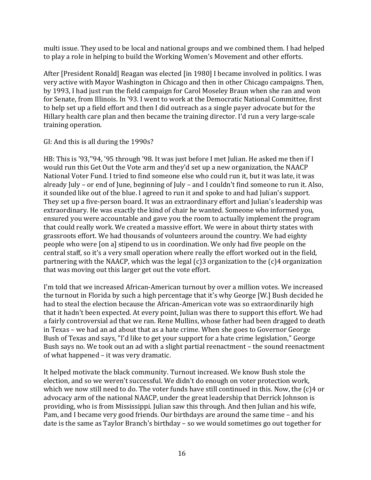multi issue. They used to be local and national groups and we combined them. I had helped to play a role in helping to build the Working Women's Movement and other efforts.

After [President Ronald] Reagan was elected [in 1980] I became involved in politics. I was very active with Mayor Washington in Chicago and then in other Chicago campaigns. Then, by 1993, I had just run the field campaign for Carol Moseley Braun when she ran and won for Senate, from Illinois. In '93. I went to work at the Democratic National Committee, first to help set up a field effort and then I did outreach as a single payer advocate but for the Hillary health care plan and then became the training director. I'd run a very large-scale training operation.

#### GI: And this is all during the 1990s?

HB: This is '93,"94, '95 through '98. It was just before I met Julian. He asked me then if I would run this Get Out the Vote arm and they'd set up a new organization, the NAACP National Voter Fund. I tried to find someone else who could run it, but it was late, it was already July – or end of June, beginning of July – and I couldn't find someone to run it. Also, it sounded like out of the blue. I agreed to run it and spoke to and had Julian's support. They set up a five-person board. It was an extraordinary effort and Julian's leadership was extraordinary. He was exactly the kind of chair he wanted. Someone who informed you, ensured you were accountable and gave you the room to actually implement the program that could really work. We created a massive effort. We were in about thirty states with grassroots effort. We had thousands of volunteers around the country. We had eighty people who were [on a] stipend to us in coordination. We only had five people on the central staff, so it's a very small operation where really the effort worked out in the field, partnering with the NAACP, which was the legal  $(c)$ 3 organization to the  $(c)$ 4 organization that was moving out this larger get out the vote effort.

I'm told that we increased African-American turnout by over a million votes. We increased the turnout in Florida by such a high percentage that it's why George [W.] Bush decided he had to steal the election because the African-American vote was so extraordinarily high that it hadn't been expected. At every point, Julian was there to support this effort. We had a fairly controversial ad that we ran. Rene Mullins, whose father had been dragged to death in Texas - we had an ad about that as a hate crime. When she goes to Governor George Bush of Texas and says, "I'd like to get your support for a hate crime legislation," George Bush says no. We took out an ad with a slight partial reenactment - the sound reenactment of what happened  $-$  it was very dramatic.

It helped motivate the black community. Turnout increased. We know Bush stole the election, and so we weren't successful. We didn't do enough on voter protection work, which we now still need to do. The voter funds have still continued in this. Now, the  $(c)4$  or advocacy arm of the national NAACP, under the great leadership that Derrick Johnson is providing, who is from Mississippi. Julian saw this through. And then Julian and his wife, Pam, and I became very good friends. Our birthdays are around the same time – and his date is the same as Taylor Branch's birthday  $-$  so we would sometimes go out together for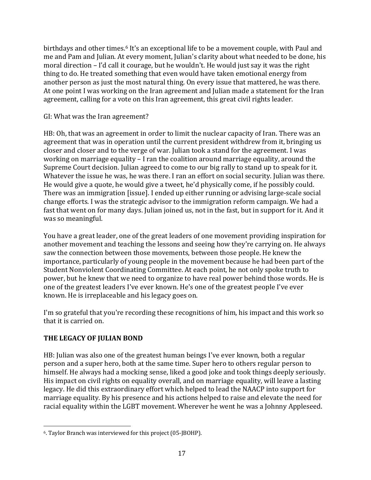birthdays and other times.<sup>6</sup> It's an exceptional life to be a movement couple, with Paul and me and Pam and Julian. At every moment, Julian's clarity about what needed to be done, his moral direction - I'd call it courage, but he wouldn't. He would just say it was the right thing to do. He treated something that even would have taken emotional energy from another person as just the most natural thing. On every issue that mattered, he was there. At one point I was working on the Iran agreement and Julian made a statement for the Iran agreement, calling for a vote on this Iran agreement, this great civil rights leader.

#### GI: What was the Iran agreement?

HB: Oh, that was an agreement in order to limit the nuclear capacity of Iran. There was an agreement that was in operation until the current president withdrew from it, bringing us closer and closer and to the verge of war. Julian took a stand for the agreement. I was working on marriage equality  $-1$  ran the coalition around marriage equality, around the Supreme Court decision. Julian agreed to come to our big rally to stand up to speak for it. Whatever the issue he was, he was there. I ran an effort on social security. Julian was there. He would give a quote, he would give a tweet, he'd physically come, if he possibly could. There was an immigration [issue]. I ended up either running or advising large-scale social change efforts. I was the strategic advisor to the immigration reform campaign. We had a fast that went on for many days. Julian joined us, not in the fast, but in support for it. And it was so meaningful.

You have a great leader, one of the great leaders of one movement providing inspiration for another movement and teaching the lessons and seeing how they're carrying on. He always saw the connection between those movements, between those people. He knew the importance, particularly of young people in the movement because he had been part of the Student Nonviolent Coordinating Committee. At each point, he not only spoke truth to power, but he knew that we need to organize to have real power behind those words. He is one of the greatest leaders I've ever known. He's one of the greatest people I've ever known. He is irreplaceable and his legacy goes on.

I'm so grateful that you're recording these recognitions of him, his impact and this work so that it is carried on.

## **THE LEGACY OF JULIAN BOND**

HB: Julian was also one of the greatest human beings I've ever known, both a regular person and a super hero, both at the same time. Super hero to others regular person to himself. He always had a mocking sense, liked a good joke and took things deeply seriously. His impact on civil rights on equality overall, and on marriage equality, will leave a lasting  $legacy.$  He did this extraordinary effort which helped to lead the NAACP into support for marriage equality. By his presence and his actions helped to raise and elevate the need for racial equality within the LGBT movement. Wherever he went he was a Johnny Appleseed.

 <sup>6</sup>. Taylor Branch was interviewed for this project (05-JBOHP).